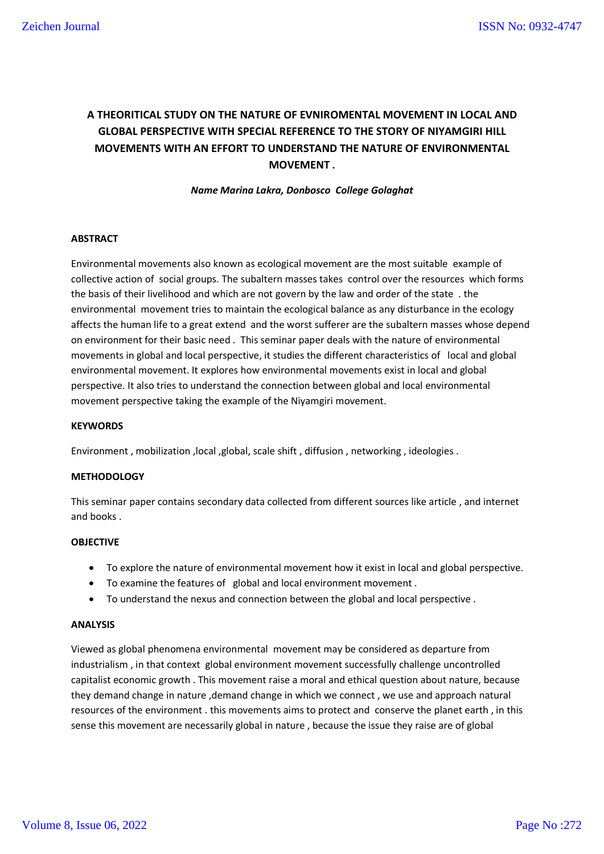# **A THEORITICAL STUDY ON THE NATURE OF EVNIROMENTAL MOVEMENT IN LOCAL AND GLOBAL PERSPECTIVE WITH SPECIAL REFERENCE TO THE STORY OF NIYAMGIRI HILL MOVEMENTS WITH AN EFFORT TO UNDERSTAND THE NATURE OF ENVIRONMENTAL MOVEMENT .**

*Name Marina Lakra, Donbosco College Golaghat*

### **ABSTRACT**

Environmental movements also known as ecological movement are the most suitable example of collective action of social groups. The subaltern masses takes control over the resources which forms the basis of their livelihood and which are not govern by the law and order of the state . the environmental movement tries to maintain the ecological balance as any disturbance in the ecology affects the human life to a great extend and the worst sufferer are the subaltern masses whose depend on environment for their basic need . This seminar paper deals with the nature of environmental movements in global and local perspective, it studies the different characteristics of local and global environmental movement. It explores how environmental movements exist in local and global perspective. It also tries to understand the connection between global and local environmental movement perspective taking the example of the Niyamgiri movement.

### **KEYWORDS**

Environment , mobilization ,local ,global, scale shift , diffusion , networking , ideologies .

### **METHODOLOGY**

This seminar paper contains secondary data collected from different sources like article , and internet and books .

# **OBJECTIVE**

- To explore the nature of environmental movement how it exist in local and global perspective.
- To examine the features of global and local environment movement .
- To understand the nexus and connection between the global and local perspective .

### **ANALYSIS**

Viewed as global phenomena environmental movement may be considered as departure from industrialism , in that context global environment movement successfully challenge uncontrolled capitalist economic growth . This movement raise a moral and ethical question about nature, because they demand change in nature ,demand change in which we connect , we use and approach natural resources of the environment . this movements aims to protect and conserve the planet earth , in this sense this movement are necessarily global in nature , because the issue they raise are of global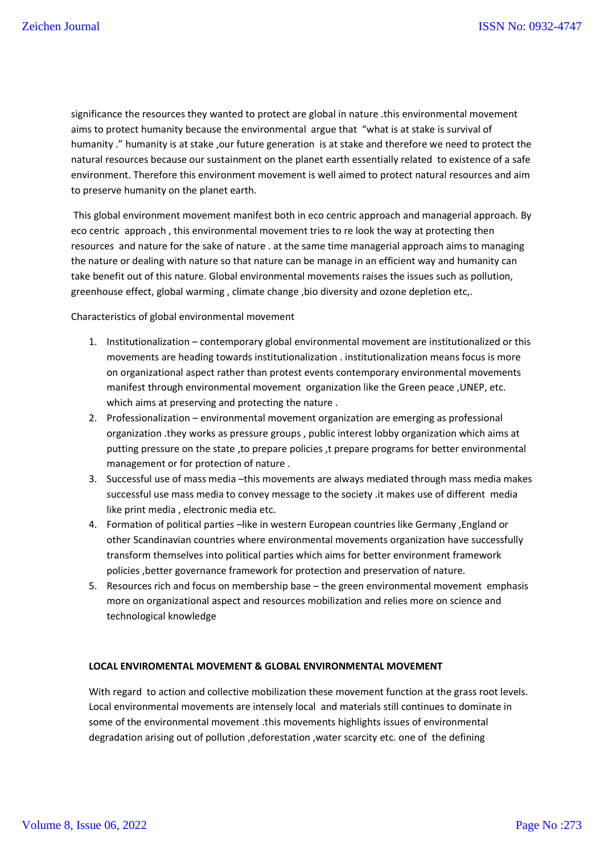significance the resources they wanted to protect are global in nature .this environmental movement aims to protect humanity because the environmental argue that "what is at stake is survival of humanity ." humanity is at stake ,our future generation is at stake and therefore we need to protect the natural resources because our sustainment on the planet earth essentially related to existence of a safe environment. Therefore this environment movement is well aimed to protect natural resources and aim to preserve humanity on the planet earth.

This global environment movement manifest both in eco centric approach and managerial approach. By eco centric approach , this environmental movement tries to re look the way at protecting then resources and nature for the sake of nature . at the same time managerial approach aims to managing the nature or dealing with nature so that nature can be manage in an efficient way and humanity can take benefit out of this nature. Global environmental movements raises the issues such as pollution, greenhouse effect, global warming, climate change, bio diversity and ozone depletion etc,.

### Characteristics of global environmental movement

- 1. Institutionalization contemporary global environmental movement are institutionalized or this movements are heading towards institutionalization . institutionalization means focus is more on organizational aspect rather than protest events contemporary environmental movements manifest through environmental movement organization like the Green peace ,UNEP, etc. which aims at preserving and protecting the nature .
- 2. Professionalization environmental movement organization are emerging as professional organization .they works as pressure groups , public interest lobby organization which aims at putting pressure on the state , to prepare policies , t prepare programs for better environmental management or for protection of nature .
- 3. Successful use of mass media –this movements are always mediated through mass media makes successful use mass media to convey message to the society .it makes use of different media like print media , electronic media etc.
- 4. Formation of political parties –like in western European countries like Germany , England or other Scandinavian countries where environmental movements organization have successfully transform themselves into political parties which aims for better environment framework policies ,better governance framework for protection and preservation of nature.
- 5. Resources rich and focus on membership base the green environmental movement emphasis more on organizational aspect and resources mobilization and relies more on science and technological knowledge

# **LOCAL ENVIROMENTAL MOVEMENT & GLOBAL ENVIRONMENTAL MOVEMENT**

With regard to action and collective mobilization these movement function at the grass root levels. Local environmental movements are intensely local and materials still continues to dominate in some of the environmental movement .this movements highlights issues of environmental degradation arising out of pollution , deforestation , water scarcity etc. one of the defining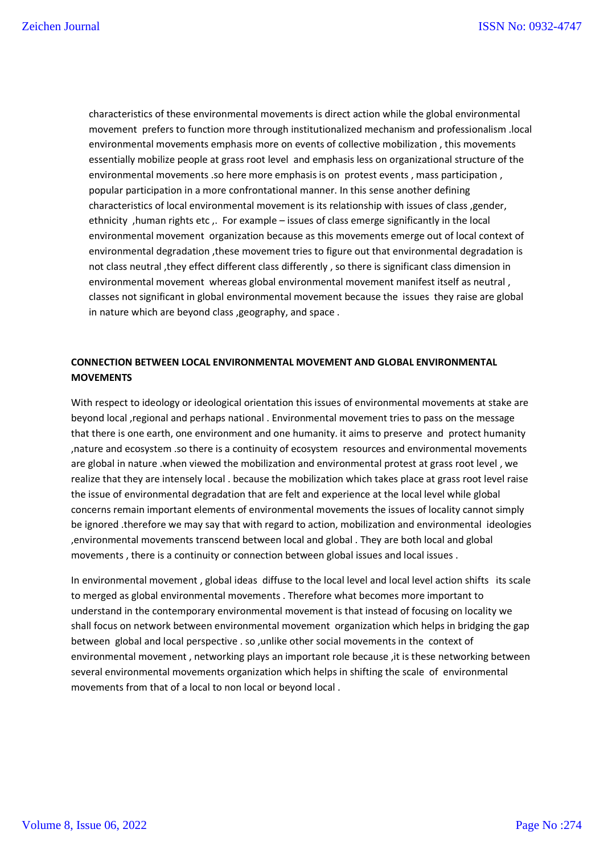characteristics of these environmental movements is direct action while the global environmental movement prefers to function more through institutionalized mechanism and professionalism .local environmental movements emphasis more on events of collective mobilization , this movements essentially mobilize people at grass root level and emphasis less on organizational structure of the environmental movements .so here more emphasis is on protest events , mass participation , popular participation in a more confrontational manner. In this sense another defining characteristics of local environmental movement is its relationship with issues of class ,gender, ethnicity ,human rights etc ,. For example – issues of class emerge significantly in the local environmental movement organization because as this movements emerge out of local context of environmental degradation ,these movement tries to figure out that environmental degradation is not class neutral ,they effect different class differently , so there is significant class dimension in environmental movement whereas global environmental movement manifest itself as neutral , classes not significant in global environmental movement because the issues they raise are global in nature which are beyond class ,geography, and space .

# **CONNECTION BETWEEN LOCAL ENVIRONMENTAL MOVEMENT AND GLOBAL ENVIRONMENTAL MOVEMENTS**

With respect to ideology or ideological orientation this issues of environmental movements at stake are beyond local ,regional and perhaps national . Environmental movement tries to pass on the message that there is one earth, one environment and one humanity. it aims to preserve and protect humanity ,nature and ecosystem .so there is a continuity of ecosystem resources and environmental movements are global in nature .when viewed the mobilization and environmental protest at grass root level , we realize that they are intensely local . because the mobilization which takes place at grass root level raise the issue of environmental degradation that are felt and experience at the local level while global concerns remain important elements of environmental movements the issues of locality cannot simply be ignored .therefore we may say that with regard to action, mobilization and environmental ideologies ,environmental movements transcend between local and global . They are both local and global movements , there is a continuity or connection between global issues and local issues .

In environmental movement , global ideas diffuse to the local level and local level action shifts its scale to merged as global environmental movements . Therefore what becomes more important to understand in the contemporary environmental movement is that instead of focusing on locality we shall focus on network between environmental movement organization which helps in bridging the gap between global and local perspective . so ,unlike other social movements in the context of environmental movement , networking plays an important role because ,it is these networking between several environmental movements organization which helps in shifting the scale of environmental movements from that of a local to non local or beyond local .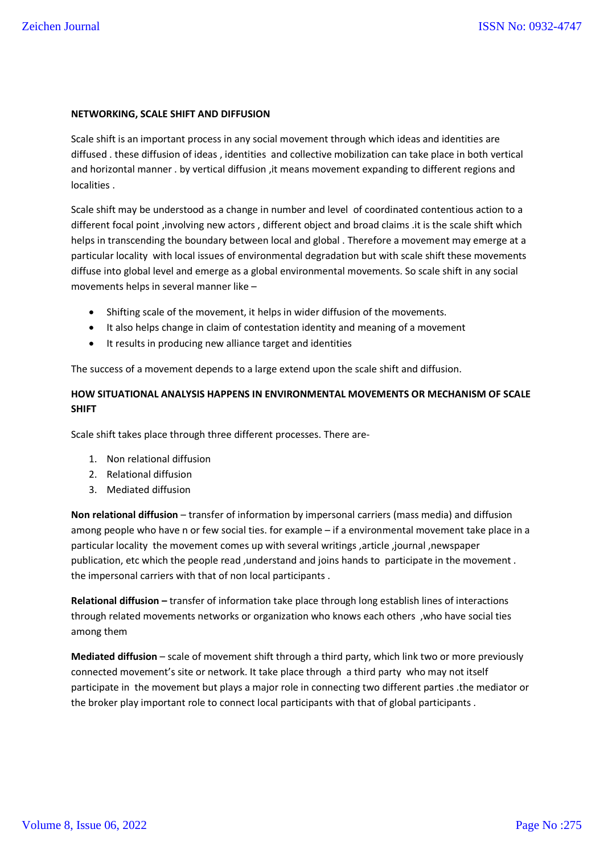### **NETWORKING, SCALE SHIFT AND DIFFUSION**

Scale shift is an important process in any social movement through which ideas and identities are diffused . these diffusion of ideas , identities and collective mobilization can take place in both vertical and horizontal manner . by vertical diffusion , it means movement expanding to different regions and localities .

Scale shift may be understood as a change in number and level of coordinated contentious action to a different focal point ,involving new actors , different object and broad claims .it is the scale shift which helps in transcending the boundary between local and global . Therefore a movement may emerge at a particular locality with local issues of environmental degradation but with scale shift these movements diffuse into global level and emerge as a global environmental movements. So scale shift in any social movements helps in several manner like –

- Shifting scale of the movement, it helps in wider diffusion of the movements.
- It also helps change in claim of contestation identity and meaning of a movement
- It results in producing new alliance target and identities

The success of a movement depends to a large extend upon the scale shift and diffusion.

# **HOW SITUATIONAL ANALYSIS HAPPENS IN ENVIRONMENTAL MOVEMENTS OR MECHANISM OF SCALE SHIFT**

Scale shift takes place through three different processes. There are-

- 1. Non relational diffusion
- 2. Relational diffusion
- 3. Mediated diffusion

**Non relational diffusion** – transfer of information by impersonal carriers (mass media) and diffusion among people who have n or few social ties. for example – if a environmental movement take place in a particular locality the movement comes up with several writings ,article ,journal ,newspaper publication, etc which the people read , understand and joins hands to participate in the movement. the impersonal carriers with that of non local participants .

**Relational diffusion –** transfer of information take place through long establish lines of interactions through related movements networks or organization who knows each others ,who have social ties among them

**Mediated diffusion** – scale of movement shift through a third party, which link two or more previously connected movement's site or network. It take place through a third party who may not itself participate in the movement but plays a major role in connecting two different parties .the mediator or the broker play important role to connect local participants with that of global participants .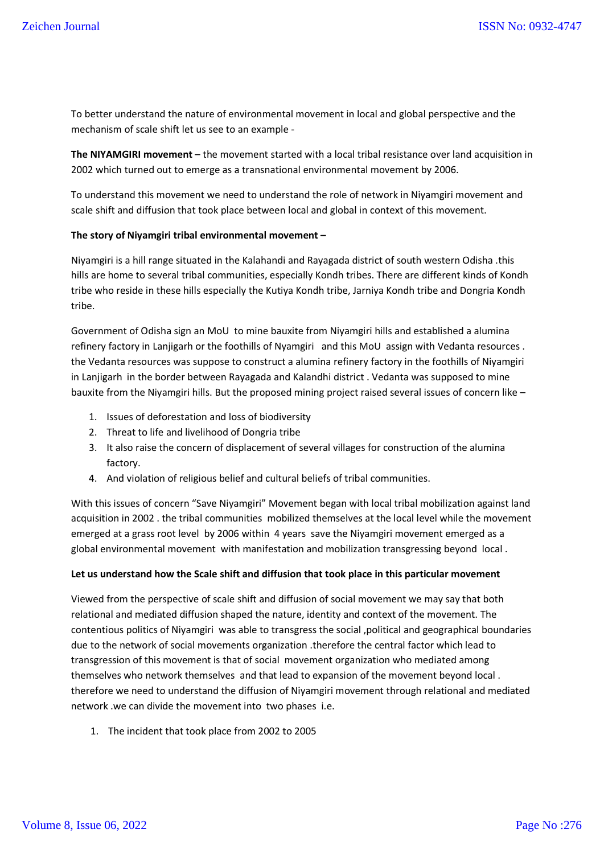To better understand the nature of environmental movement in local and global perspective and the mechanism of scale shift let us see to an example -

**The NIYAMGIRI movement** – the movement started with a local tribal resistance over land acquisition in 2002 which turned out to emerge as a transnational environmental movement by 2006.

To understand this movement we need to understand the role of network in Niyamgiri movement and scale shift and diffusion that took place between local and global in context of this movement.

### **The story of Niyamgiri tribal environmental movement –**

Niyamgiri is a hill range situated in the Kalahandi and Rayagada district of south western Odisha .this hills are home to several tribal communities, especially Kondh tribes. There are different kinds of Kondh tribe who reside in these hills especially the Kutiya Kondh tribe, Jarniya Kondh tribe and Dongria Kondh tribe.

Government of Odisha sign an MoU to mine bauxite from Niyamgiri hills and established a alumina refinery factory in Lanjigarh or the foothills of Nyamgiri and this MoU assign with Vedanta resources . the Vedanta resources was suppose to construct a alumina refinery factory in the foothills of Niyamgiri in Lanjigarh in the border between Rayagada and Kalandhi district . Vedanta was supposed to mine bauxite from the Niyamgiri hills. But the proposed mining project raised several issues of concern like –

- 1. Issues of deforestation and loss of biodiversity
- 2. Threat to life and livelihood of Dongria tribe
- 3. It also raise the concern of displacement of several villages for construction of the alumina factory.
- 4. And violation of religious belief and cultural beliefs of tribal communities.

With this issues of concern "Save Niyamgiri" Movement began with local tribal mobilization against land acquisition in 2002 . the tribal communities mobilized themselves at the local level while the movement emerged at a grass root level by 2006 within 4 years save the Niyamgiri movement emerged as a global environmental movement with manifestation and mobilization transgressing beyond local .

### **Let us understand how the Scale shift and diffusion that took place in this particular movement**

Viewed from the perspective of scale shift and diffusion of social movement we may say that both relational and mediated diffusion shaped the nature, identity and context of the movement. The contentious politics of Niyamgiri was able to transgress the social ,political and geographical boundaries due to the network of social movements organization .therefore the central factor which lead to transgression of this movement is that of social movement organization who mediated among themselves who network themselves and that lead to expansion of the movement beyond local . therefore we need to understand the diffusion of Niyamgiri movement through relational and mediated network .we can divide the movement into two phases i.e.

1. The incident that took place from 2002 to 2005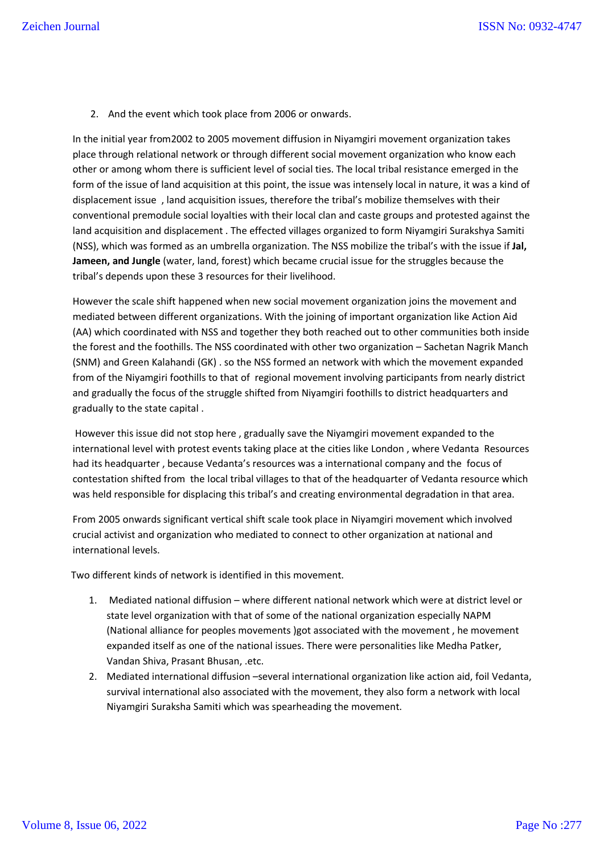2. And the event which took place from 2006 or onwards.

In the initial year from2002 to 2005 movement diffusion in Niyamgiri movement organization takes place through relational network or through different social movement organization who know each other or among whom there is sufficient level of social ties. The local tribal resistance emerged in the form of the issue of land acquisition at this point, the issue was intensely local in nature, it was a kind of displacement issue , land acquisition issues, therefore the tribal's mobilize themselves with their conventional premodule social loyalties with their local clan and caste groups and protested against the land acquisition and displacement . The effected villages organized to form Niyamgiri Surakshya Samiti (NSS), which was formed as an umbrella organization. The NSS mobilize the tribal's with the issue if **Jal, Jameen, and Jungle** (water, land, forest) which became crucial issue for the struggles because the tribal's depends upon these 3 resources for their livelihood.

However the scale shift happened when new social movement organization joins the movement and mediated between different organizations. With the joining of important organization like Action Aid (AA) which coordinated with NSS and together they both reached out to other communities both inside the forest and the foothills. The NSS coordinated with other two organization – Sachetan Nagrik Manch (SNM) and Green Kalahandi (GK) . so the NSS formed an network with which the movement expanded from of the Niyamgiri foothills to that of regional movement involving participants from nearly district and gradually the focus of the struggle shifted from Niyamgiri foothills to district headquarters and gradually to the state capital .

However this issue did not stop here , gradually save the Niyamgiri movement expanded to the international level with protest events taking place at the cities like London , where Vedanta Resources had its headquarter , because Vedanta's resources was a international company and the focus of contestation shifted from the local tribal villages to that of the headquarter of Vedanta resource which was held responsible for displacing this tribal's and creating environmental degradation in that area.

From 2005 onwards significant vertical shift scale took place in Niyamgiri movement which involved crucial activist and organization who mediated to connect to other organization at national and international levels.

Two different kinds of network is identified in this movement.

- 1. Mediated national diffusion where different national network which were at district level or state level organization with that of some of the national organization especially NAPM (National alliance for peoples movements )got associated with the movement , he movement expanded itself as one of the national issues. There were personalities like Medha Patker, Vandan Shiva, Prasant Bhusan, .etc.
- 2. Mediated international diffusion –several international organization like action aid, foil Vedanta, survival international also associated with the movement, they also form a network with local Niyamgiri Suraksha Samiti which was spearheading the movement.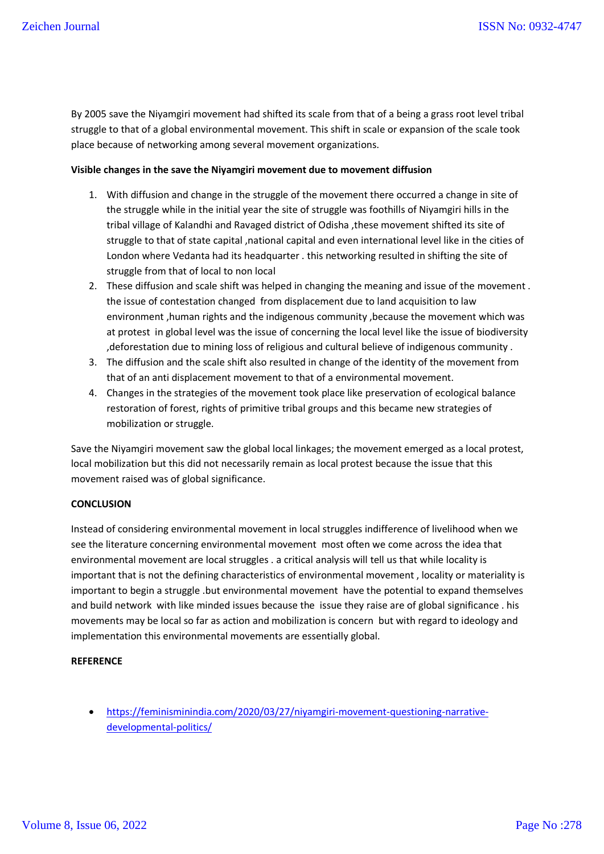By 2005 save the Niyamgiri movement had shifted its scale from that of a being a grass root level tribal struggle to that of a global environmental movement. This shift in scale or expansion of the scale took place because of networking among several movement organizations.

### **Visible changes in the save the Niyamgiri movement due to movement diffusion**

- 1. With diffusion and change in the struggle of the movement there occurred a change in site of the struggle while in the initial year the site of struggle was foothills of Niyamgiri hills in the tribal village of Kalandhi and Ravaged district of Odisha ,these movement shifted its site of struggle to that of state capital ,national capital and even international level like in the cities of London where Vedanta had its headquarter . this networking resulted in shifting the site of struggle from that of local to non local
- 2. These diffusion and scale shift was helped in changing the meaning and issue of the movement . the issue of contestation changed from displacement due to land acquisition to law environment ,human rights and the indigenous community ,because the movement which was at protest in global level was the issue of concerning the local level like the issue of biodiversity ,deforestation due to mining loss of religious and cultural believe of indigenous community .
- 3. The diffusion and the scale shift also resulted in change of the identity of the movement from that of an anti displacement movement to that of a environmental movement.
- 4. Changes in the strategies of the movement took place like preservation of ecological balance restoration of forest, rights of primitive tribal groups and this became new strategies of mobilization or struggle.

Save the Niyamgiri movement saw the global local linkages; the movement emerged as a local protest, local mobilization but this did not necessarily remain as local protest because the issue that this movement raised was of global significance.

# **CONCLUSION**

Instead of considering environmental movement in local struggles indifference of livelihood when we see the literature concerning environmental movement most often we come across the idea that environmental movement are local struggles . a critical analysis will tell us that while locality is important that is not the defining characteristics of environmental movement , locality or materiality is important to begin a struggle .but environmental movement have the potential to expand themselves and build network with like minded issues because the issue they raise are of global significance . his movements may be local so far as action and mobilization is concern but with regard to ideology and implementation this environmental movements are essentially global.

# **REFERENCE**

 https://feminisminindia.com/2020/03/27/niyamgiri-movement-questioning-narrativedevelopmental-politics/